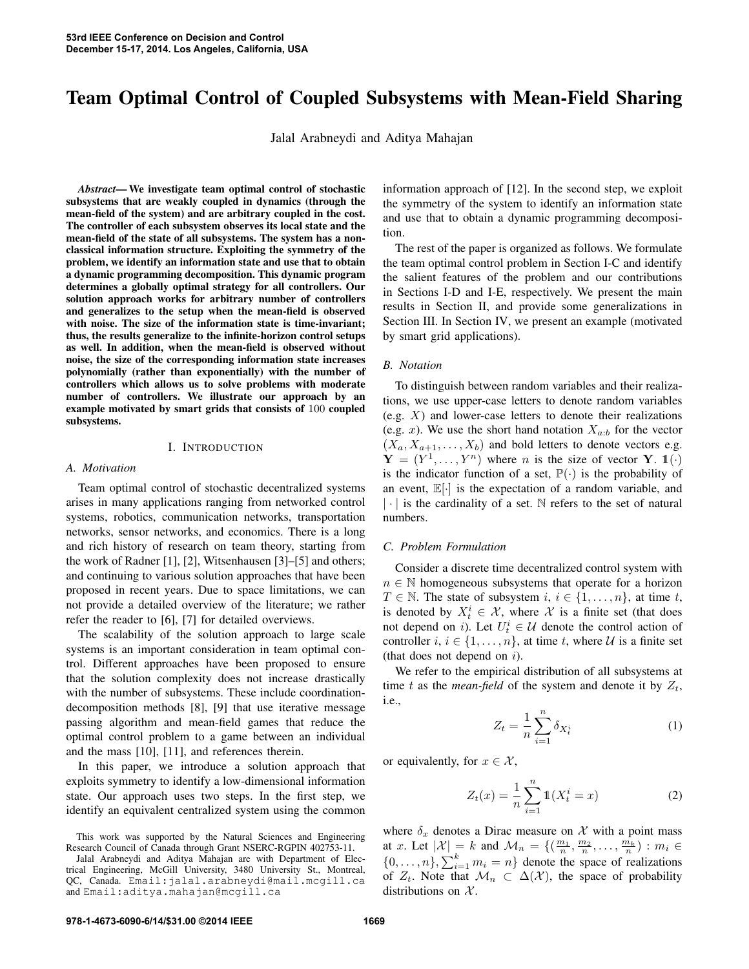# Team Optimal Control of Coupled Subsystems with Mean-Field Sharing

Jalal Arabneydi and Aditya Mahajan

*Abstract*— We investigate team optimal control of stochastic subsystems that are weakly coupled in dynamics (through the mean-field of the system) and are arbitrary coupled in the cost. The controller of each subsystem observes its local state and the mean-field of the state of all subsystems. The system has a nonclassical information structure. Exploiting the symmetry of the problem, we identify an information state and use that to obtain a dynamic programming decomposition. This dynamic program determines a globally optimal strategy for all controllers. Our solution approach works for arbitrary number of controllers and generalizes to the setup when the mean-field is observed with noise. The size of the information state is time-invariant; thus, the results generalize to the infinite-horizon control setups as well. In addition, when the mean-field is observed without noise, the size of the corresponding information state increases polynomially (rather than exponentially) with the number of controllers which allows us to solve problems with moderate number of controllers. We illustrate our approach by an example motivated by smart grids that consists of 100 coupled subsystems.

#### I. INTRODUCTION

#### *A. Motivation*

Team optimal control of stochastic decentralized systems arises in many applications ranging from networked control systems, robotics, communication networks, transportation networks, sensor networks, and economics. There is a long and rich history of research on team theory, starting from the work of Radner [1], [2], Witsenhausen [3]–[5] and others; and continuing to various solution approaches that have been proposed in recent years. Due to space limitations, we can not provide a detailed overview of the literature; we rather refer the reader to [6], [7] for detailed overviews.

The scalability of the solution approach to large scale systems is an important consideration in team optimal control. Different approaches have been proposed to ensure that the solution complexity does not increase drastically with the number of subsystems. These include coordinationdecomposition methods [8], [9] that use iterative message passing algorithm and mean-field games that reduce the optimal control problem to a game between an individual and the mass [10], [11], and references therein.

In this paper, we introduce a solution approach that exploits symmetry to identify a low-dimensional information state. Our approach uses two steps. In the first step, we identify an equivalent centralized system using the common information approach of [12]. In the second step, we exploit the symmetry of the system to identify an information state and use that to obtain a dynamic programming decomposition.

The rest of the paper is organized as follows. We formulate the team optimal control problem in Section I-C and identify the salient features of the problem and our contributions in Sections I-D and I-E, respectively. We present the main results in Section II, and provide some generalizations in Section III. In Section IV, we present an example (motivated by smart grid applications).

#### *B. Notation*

To distinguish between random variables and their realizations, we use upper-case letters to denote random variables  $(e.g. X)$  and lower-case letters to denote their realizations (e.g. x). We use the short hand notation  $X_{a:b}$  for the vector  $(X_a, X_{a+1}, \ldots, X_b)$  and bold letters to denote vectors e.g.  $\mathbf{Y} = (Y^1, \dots, Y^n)$  where *n* is the size of vector **Y**.  $\mathbb{1}(\cdot)$ is the indicator function of a set,  $\mathbb{P}(\cdot)$  is the probability of an event,  $\mathbb{E}[\cdot]$  is the expectation of a random variable, and  $|\cdot|$  is the cardinality of a set. N refers to the set of natural numbers.

## *C. Problem Formulation*

Consider a discrete time decentralized control system with  $n \in \mathbb{N}$  homogeneous subsystems that operate for a horizon  $T \in \mathbb{N}$ . The state of subsystem  $i, i \in \{1, \ldots, n\}$ , at time t, is denoted by  $X_t^i \in \mathcal{X}$ , where  $\mathcal{X}$  is a finite set (that does not depend on *i*). Let  $U_t^i \in \mathcal{U}$  denote the control action of controller  $i, i \in \{1, \ldots, n\}$ , at time t, where U is a finite set (that does not depend on  $i$ ).

We refer to the empirical distribution of all subsystems at time t as the *mean-field* of the system and denote it by  $Z_t$ , i.e.,

$$
Z_t = \frac{1}{n} \sum_{i=1}^n \delta_{X_t^i}
$$
 (1)

or equivalently, for  $x \in \mathcal{X}$ ,

$$
Z_t(x) = \frac{1}{n} \sum_{i=1}^n \mathbb{1}(X_t^i = x)
$$
 (2)

where  $\delta_x$  denotes a Dirac measure on X with a point mass at x. Let  $|\mathcal{X}| = k$  and  $\mathcal{M}_n = \{(\frac{m_1}{n}, \frac{m_2}{n}, \dots, \frac{m_k}{n}) : m_i \in$  $\{0, \ldots, n\}, \sum_{i=1}^{k} m_i = n\}$  denote the space of realizations of  $Z_t$ . Note that  $\mathcal{M}_n \subset \Delta(\mathcal{X})$ , the space of probability distributions on  $X$ .

This work was supported by the Natural Sciences and Engineering Research Council of Canada through Grant NSERC-RGPIN 402753-11.

Jalal Arabneydi and Aditya Mahajan are with Department of Electrical Engineering, McGill University, 3480 University St., Montreal, QC, Canada. Email:jalal.arabneydi@mail.mcgill.ca and Email:aditya.mahajan@mcgill.ca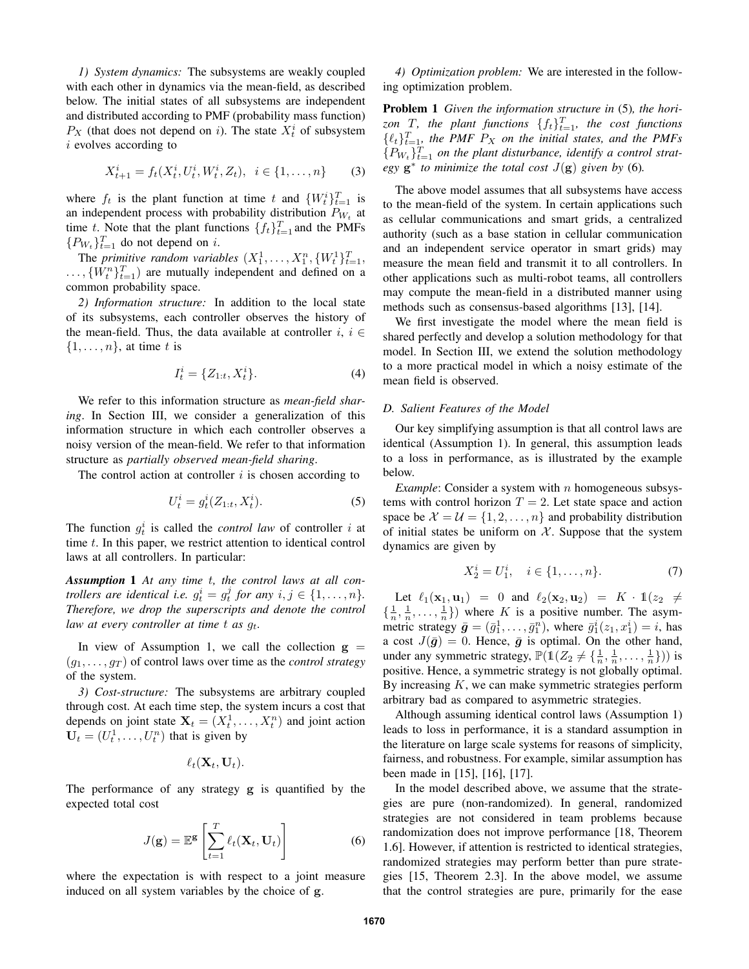*1) System dynamics:* The subsystems are weakly coupled with each other in dynamics via the mean-field, as described below. The initial states of all subsystems are independent and distributed according to PMF (probability mass function)  $P_X$  (that does not depend on *i*). The state  $X_t^i$  of subsystem i evolves according to

$$
X_{t+1}^i = f_t(X_t^i, U_t^i, W_t^i, Z_t), \ \ i \in \{1, \dots, n\}
$$
 (3)

where  $f_t$  is the plant function at time t and  $\{W_t^i\}_{t=1}^T$  is an independent process with probability distribution  $P_{W_t}$  at time t. Note that the plant functions  $\{f_t\}_{t=1}^T$  and the PMFs  $\{P_{W_t}\}_{t=1}^T$  do not depend on *i*.

The *primitive random variables*  $(X_1^1, \ldots, X_1^n, \{W_t^1\}_{t=1}^T,$  $\ldots, \{W_t^n\}_{t=1}^T$  are mutually independent and defined on a common probability space.

*2) Information structure:* In addition to the local state of its subsystems, each controller observes the history of the mean-field. Thus, the data available at controller  $i, i \in$  $\{1, \ldots, n\}$ , at time t is

$$
I_t^i = \{Z_{1:t}, X_t^i\}.
$$
 (4)

We refer to this information structure as *mean-field sharing*. In Section III, we consider a generalization of this information structure in which each controller observes a noisy version of the mean-field. We refer to that information structure as *partially observed mean-field sharing*.

The control action at controller  $i$  is chosen according to

$$
U_t^i = g_t^i(Z_{1:t}, X_t^i). \t\t(5)
$$

The function  $g_t^i$  is called the *control law* of controller i at time  $t$ . In this paper, we restrict attention to identical control laws at all controllers. In particular:

*Assumption* 1 *At any time* t*, the control laws at all controllers are identical i.e.*  $g_t^i = g_t^j$  for any  $i, j \in \{1, \ldots, n\}$ . *Therefore, we drop the superscripts and denote the control law at every controller at time t as*  $q_t$ *.* 

In view of Assumption 1, we call the collection  $g =$  $(q_1, \ldots, q_T)$  of control laws over time as the *control strategy* of the system.

*3) Cost-structure:* The subsystems are arbitrary coupled through cost. At each time step, the system incurs a cost that depends on joint state  $X_t = (X_t^1, \dots, X_t^n)$  and joint action  $U_t = (U_t^1, \dots, U_t^n)$  that is given by

$$
\ell_t(\mathbf{X}_t,\mathbf{U}_t).
$$

The performance of any strategy g is quantified by the expected total cost

$$
J(\mathbf{g}) = \mathbb{E}^{\mathbf{g}} \left[ \sum_{t=1}^{T} \ell_t(\mathbf{X}_t, \mathbf{U}_t) \right]
$$
 (6)

where the expectation is with respect to a joint measure induced on all system variables by the choice of g.

*4) Optimization problem:* We are interested in the following optimization problem.

Problem 1 *Given the information structure in* (5)*, the hori*zon  $T$ *, the plant functions*  $\{f_t\}_{t=1}^T$ *, the cost functions*  $\{\ell_t\}_{t=1}^T$  the PMF  $P_X$  on the initial states, and the PMFs  ${P_{W_t}}_{t=1}^T$  *on the plant disturbance, identify a control strategy*  $g^*$  *to minimize the total cost*  $J(g)$  *given by* (6)*.* 

The above model assumes that all subsystems have access to the mean-field of the system. In certain applications such as cellular communications and smart grids, a centralized authority (such as a base station in cellular communication and an independent service operator in smart grids) may measure the mean field and transmit it to all controllers. In other applications such as multi-robot teams, all controllers may compute the mean-field in a distributed manner using methods such as consensus-based algorithms [13], [14].

We first investigate the model where the mean field is shared perfectly and develop a solution methodology for that model. In Section III, we extend the solution methodology to a more practical model in which a noisy estimate of the mean field is observed.

## *D. Salient Features of the Model*

Our key simplifying assumption is that all control laws are identical (Assumption 1). In general, this assumption leads to a loss in performance, as is illustrated by the example below.

*Example*: Consider a system with *n* homogeneous subsystems with control horizon  $T = 2$ . Let state space and action space be  $\mathcal{X} = \mathcal{U} = \{1, 2, ..., n\}$  and probability distribution of initial states be uniform on  $X$ . Suppose that the system dynamics are given by

$$
X_2^i = U_1^i, \quad i \in \{1, \dots, n\}.
$$
 (7)

Let  $\ell_1(\mathbf{x}_1, \mathbf{u}_1) = 0$  and  $\ell_2(\mathbf{x}_2, \mathbf{u}_2) = K \cdot \mathbb{1}(z_2 \neq 0)$  $\{\frac{1}{n}, \frac{1}{n}, \ldots, \frac{1}{n}\}\)$  where K is a positive number. The asymmetric strategy  $\bar{g} = (\bar{g}_1^1, \dots, \bar{g}_1^n)$ , where  $\bar{g}_1^i(z_1, x_1^i) = i$ , has a cost  $J(\bar{g}) = 0$ . Hence,  $\bar{g}$  is optimal. On the other hand, under any symmetric strategy,  $\mathbb{P}(\mathbb{1}(Z_2 \neq \{\frac{1}{n}, \frac{1}{n}, \dots, \frac{1}{n}\}))$  is positive. Hence, a symmetric strategy is not globally optimal. By increasing  $K$ , we can make symmetric strategies perform arbitrary bad as compared to asymmetric strategies.

Although assuming identical control laws (Assumption 1) leads to loss in performance, it is a standard assumption in the literature on large scale systems for reasons of simplicity, fairness, and robustness. For example, similar assumption has been made in [15], [16], [17].

In the model described above, we assume that the strategies are pure (non-randomized). In general, randomized strategies are not considered in team problems because randomization does not improve performance [18, Theorem 1.6]. However, if attention is restricted to identical strategies, randomized strategies may perform better than pure strategies [15, Theorem 2.3]. In the above model, we assume that the control strategies are pure, primarily for the ease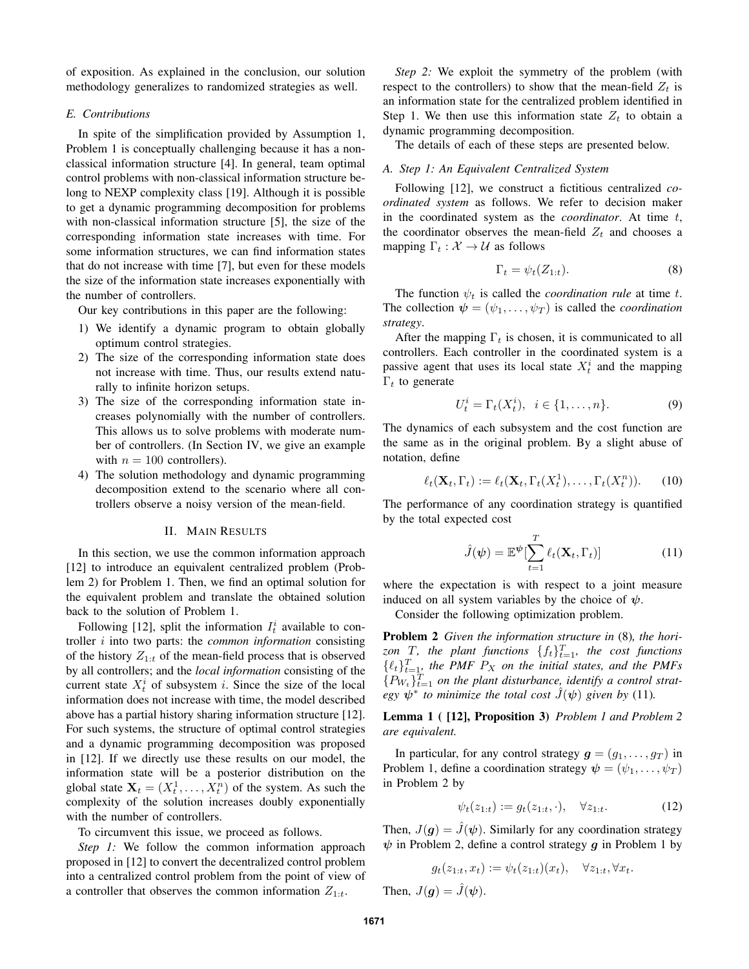of exposition. As explained in the conclusion, our solution methodology generalizes to randomized strategies as well.

# *E. Contributions*

In spite of the simplification provided by Assumption 1, Problem 1 is conceptually challenging because it has a nonclassical information structure [4]. In general, team optimal control problems with non-classical information structure belong to NEXP complexity class [19]. Although it is possible to get a dynamic programming decomposition for problems with non-classical information structure [5], the size of the corresponding information state increases with time. For some information structures, we can find information states that do not increase with time [7], but even for these models the size of the information state increases exponentially with the number of controllers.

Our key contributions in this paper are the following:

- 1) We identify a dynamic program to obtain globally optimum control strategies.
- 2) The size of the corresponding information state does not increase with time. Thus, our results extend naturally to infinite horizon setups.
- 3) The size of the corresponding information state increases polynomially with the number of controllers. This allows us to solve problems with moderate number of controllers. (In Section IV, we give an example with  $n = 100$  controllers).
- 4) The solution methodology and dynamic programming decomposition extend to the scenario where all controllers observe a noisy version of the mean-field.

### II. MAIN RESULTS

In this section, we use the common information approach [12] to introduce an equivalent centralized problem (Problem 2) for Problem 1. Then, we find an optimal solution for the equivalent problem and translate the obtained solution back to the solution of Problem 1.

Following [12], split the information  $I_t^i$  available to controller i into two parts: the *common information* consisting of the history  $Z_{1:t}$  of the mean-field process that is observed by all controllers; and the *local information* consisting of the current state  $X_t^i$  of subsystem i. Since the size of the local information does not increase with time, the model described above has a partial history sharing information structure [12]. For such systems, the structure of optimal control strategies and a dynamic programming decomposition was proposed in [12]. If we directly use these results on our model, the information state will be a posterior distribution on the global state  $\mathbf{X}_t = (X_t^1, \dots, X_t^n)$  of the system. As such the complexity of the solution increases doubly exponentially with the number of controllers.

To circumvent this issue, we proceed as follows.

*Step 1:* We follow the common information approach proposed in [12] to convert the decentralized control problem into a centralized control problem from the point of view of a controller that observes the common information  $Z_{1:t}$ .

*Step 2:* We exploit the symmetry of the problem (with respect to the controllers) to show that the mean-field  $Z_t$  is an information state for the centralized problem identified in Step 1. We then use this information state  $Z_t$  to obtain a dynamic programming decomposition.

The details of each of these steps are presented below.

## *A. Step 1: An Equivalent Centralized System*

Following [12], we construct a fictitious centralized *coordinated system* as follows. We refer to decision maker in the coordinated system as the *coordinator*. At time t, the coordinator observes the mean-field  $Z_t$  and chooses a mapping  $\Gamma_t : \mathcal{X} \to \mathcal{U}$  as follows

$$
\Gamma_t = \psi_t(Z_{1:t}).\tag{8}
$$

The function  $\psi_t$  is called the *coordination rule* at time t. The collection  $\psi = (\psi_1, \dots, \psi_T)$  is called the *coordination strategy*.

After the mapping  $\Gamma_t$  is chosen, it is communicated to all controllers. Each controller in the coordinated system is a passive agent that uses its local state  $X_t^i$  and the mapping  $Γ_t$  to generate

$$
U_t^i = \Gamma_t(X_t^i), \ \ i \in \{1, \dots, n\}.
$$
 (9)

The dynamics of each subsystem and the cost function are the same as in the original problem. By a slight abuse of notation, define

$$
\ell_t(\mathbf{X}_t, \Gamma_t) := \ell_t(\mathbf{X}_t, \Gamma_t(X_t^1), \dots, \Gamma_t(X_t^n)).
$$
 (10)

The performance of any coordination strategy is quantified by the total expected cost

$$
\hat{J}(\boldsymbol{\psi}) = \mathbb{E}^{\boldsymbol{\psi}}[\sum_{t=1}^{T} \ell_t(\mathbf{X}_t, \Gamma_t)]
$$
\n(11)

where the expectation is with respect to a joint measure induced on all system variables by the choice of  $\psi$ .

Consider the following optimization problem.

Problem 2 *Given the information structure in* (8)*, the hori*zon  $T$ , the plant functions  $\{f_t\}_{t=1}^T$ , the cost functions  $\{\ell_t\}_{t=1}^T$ , the PMF  $P_X$  on the initial states, and the PMFs  ${P_{W_t}}_{t=1}^T$  *on the plant disturbance, identify a control strategy*  $\psi^*$  to minimize the total cost  $\hat{J}(\psi)$  given by (11).

Lemma 1 ( [12], Proposition 3) *Problem 1 and Problem 2 are equivalent.*

In particular, for any control strategy  $g = (g_1, \ldots, g_T)$  in Problem 1, define a coordination strategy  $\psi = (\psi_1, \dots, \psi_T)$ in Problem 2 by

$$
\psi_t(z_{1:t}) := g_t(z_{1:t}, \cdot), \quad \forall z_{1:t}.\tag{12}
$$

Then,  $J(\mathbf{g}) = \hat{J}(\mathbf{\psi})$ . Similarly for any coordination strategy  $\psi$  in Problem 2, define a control strategy  $q$  in Problem 1 by

$$
g_t(z_{1:t}, x_t) := \psi_t(z_{1:t})(x_t), \quad \forall z_{1:t}, \forall x_t.
$$

Then,  $J(q) = \hat{J}(\psi)$ .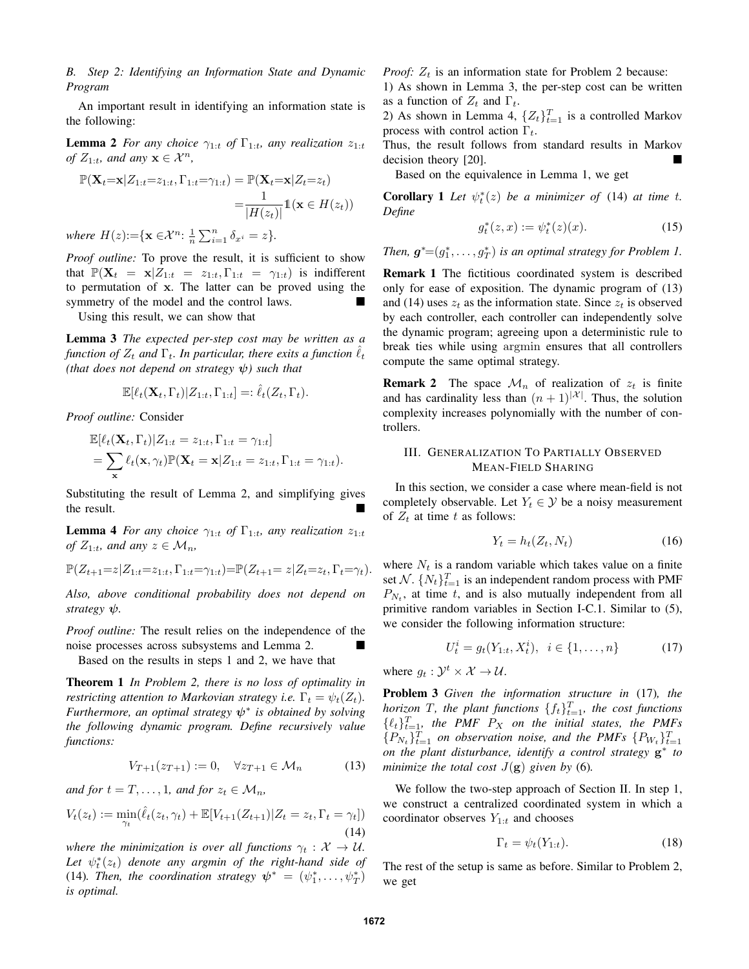*B. Step 2: Identifying an Information State and Dynamic Program*

An important result in identifying an information state is the following:

**Lemma 2** *For any choice*  $\gamma_{1:t}$  *of*  $\Gamma_{1:t}$ *, any realization*  $z_{1:t}$ *of*  $Z_{1:t}$ *, and any*  $\mathbf{x} \in \mathcal{X}^n$ *,* 

$$
\mathbb{P}(\mathbf{X}_t = \mathbf{x} | Z_{1:t} = z_{1:t}, \Gamma_{1:t} = \gamma_{1:t}) = \mathbb{P}(\mathbf{X}_t = \mathbf{x} | Z_t = z_t)
$$

$$
= \frac{1}{|H(z_t)|} \mathbb{1}(\mathbf{x} \in H(z_t))
$$

*where*  $H(z) := \{ \mathbf{x} \in \mathcal{X}^n : \frac{1}{n} \sum_{i=1}^n \delta_{x^i} = z \}.$ 

*Proof outline:* To prove the result, it is sufficient to show that  $\mathbb{P}(\mathbf{X}_t = \mathbf{x} | Z_{1:t} = z_{1:t}, \Gamma_{1:t} = \gamma_{1:t})$  is indifferent to permutation of x. The latter can be proved using the symmetry of the model and the control laws.

Using this result, we can show that

Lemma 3 *The expected per-step cost may be written as a function of*  $Z_t$  *and*  $\Gamma_t$ . In particular, there exits a function  $\ell_t$ *(that does not depend on strategy* ψ*) such that*

$$
\mathbb{E}[\ell_t(\mathbf{X}_t,\Gamma_t)|Z_{1:t},\Gamma_{1:t}] =: \hat{\ell}_t(Z_t,\Gamma_t).
$$

*Proof outline:* Consider

$$
\mathbb{E}[\ell_t(\mathbf{X}_t, \Gamma_t)|Z_{1:t} = z_{1:t}, \Gamma_{1:t} = \gamma_{1:t}]
$$
  
= 
$$
\sum_{\mathbf{x}} \ell_t(\mathbf{x}, \gamma_t) \mathbb{P}(\mathbf{X}_t = \mathbf{x}|Z_{1:t} = z_{1:t}, \Gamma_{1:t} = \gamma_{1:t}).
$$

Substituting the result of Lemma 2, and simplifying gives the result.

**Lemma 4** *For any choice*  $\gamma_{1:t}$  *of*  $\Gamma_{1:t}$ *, any realization*  $z_{1:t}$ *of*  $Z_{1:t}$ *, and any*  $z \in \mathcal{M}_n$ *,* 

$$
\mathbb{P}(Z_{t+1} = z | Z_{1:t} = z_{1:t}, \Gamma_{1:t} = \gamma_{1:t}) = \mathbb{P}(Z_{t+1} = z | Z_t = z_t, \Gamma_t = \gamma_t).
$$

*Also, above conditional probability does not depend on strategy* ψ*.*

*Proof outline:* The result relies on the independence of the noise processes across subsystems and Lemma 2.

Based on the results in steps 1 and 2, we have that

Theorem 1 *In Problem 2, there is no loss of optimality in restricting attention to Markovian strategy i.e.*  $\Gamma_t = \psi_t(Z_t)$ . *Furthermore, an optimal strategy* ψ<sup>∗</sup> *is obtained by solving the following dynamic program. Define recursively value functions:*

$$
V_{T+1}(z_{T+1}) := 0, \quad \forall z_{T+1} \in \mathcal{M}_n \tag{13}
$$

*and for*  $t = T, \ldots, 1$ *, and for*  $z_t \in M_n$ *,* 

$$
V_t(z_t) := \min_{\gamma_t} (\hat{\ell}_t(z_t, \gamma_t) + \mathbb{E}[V_{t+1}(Z_{t+1}) | Z_t = z_t, \Gamma_t = \gamma_t])
$$
\n(14)

*where the minimization is over all functions*  $\gamma_t : \mathcal{X} \to \mathcal{U}$ . Let  $\psi_t^*(z_t)$  denote any argmin of the right-hand side of (14). Then, the coordination strategy  $\psi^* = (\psi_1^*, \dots, \psi_T^*)$ *is optimal.*

*Proof:*  $Z_t$  is an information state for Problem 2 because:

1) As shown in Lemma 3, the per-step cost can be written as a function of  $Z_t$  and  $\Gamma_t$ .

2) As shown in Lemma 4,  $\{Z_t\}_{t=1}^T$  is a controlled Markov process with control action  $\Gamma_t$ .

Thus, the result follows from standard results in Markov decision theory [20].

Based on the equivalence in Lemma 1, we get

**Corollary 1** Let  $\psi_t^*(z)$  be a minimizer of (14) at time t. *Define*

$$
g_t^*(z, x) := \psi_t^*(z)(x). \tag{15}
$$

*Then,*  $g^* = (g_1^*, \ldots, g_T^*)$  *is an optimal strategy for Problem 1.* 

Remark 1 The fictitious coordinated system is described only for ease of exposition. The dynamic program of (13) and (14) uses  $z_t$  as the information state. Since  $z_t$  is observed by each controller, each controller can independently solve the dynamic program; agreeing upon a deterministic rule to break ties while using argmin ensures that all controllers compute the same optimal strategy.

**Remark 2** The space  $\mathcal{M}_n$  of realization of  $z_t$  is finite and has cardinality less than  $(n + 1)^{|\mathcal{X}|}$ . Thus, the solution complexity increases polynomially with the number of controllers.

# III. GENERALIZATION TO PARTIALLY OBSERVED MEAN-FIELD SHARING

In this section, we consider a case where mean-field is not completely observable. Let  $Y_t \in \mathcal{Y}$  be a noisy measurement of  $Z_t$  at time t as follows:

$$
Y_t = h_t(Z_t, N_t) \tag{16}
$$

where  $N_t$  is a random variable which takes value on a finite set  $\mathcal{N}$ .  $\{N_t\}_{t=1}^T$  is an independent random process with PMF  $P_{N_t}$ , at time t, and is also mutually independent from all primitive random variables in Section I-C.1. Similar to (5), we consider the following information structure:

$$
U_t^i = g_t(Y_{1:t}, X_t^i), \ \ i \in \{1, \dots, n\} \tag{17}
$$

where  $g_t: \mathcal{Y}^t \times \mathcal{X} \to \mathcal{U}$ .

Problem 3 *Given the information structure in* (17)*, the horizon* T, the plant functions  $\{f_t\}_{t=1}^T$ , the cost functions  $\{\ell_t\}_{t=1}^T$ , the PMF  $P_X$  on the initial states, the PMFs  ${P_{N_t}}_{t=1}^T$  *on observation noise, and the PMFs*  ${P_{W_t}}_{t=1}^T$ *on the plant disturbance, identify a control strategy* g ∗ *to minimize the total cost*  $J(g)$  *given by* (6).

We follow the two-step approach of Section II. In step 1, we construct a centralized coordinated system in which a coordinator observes  $Y_{1:t}$  and chooses

$$
\Gamma_t = \psi_t(Y_{1:t}).\tag{18}
$$

The rest of the setup is same as before. Similar to Problem 2, we get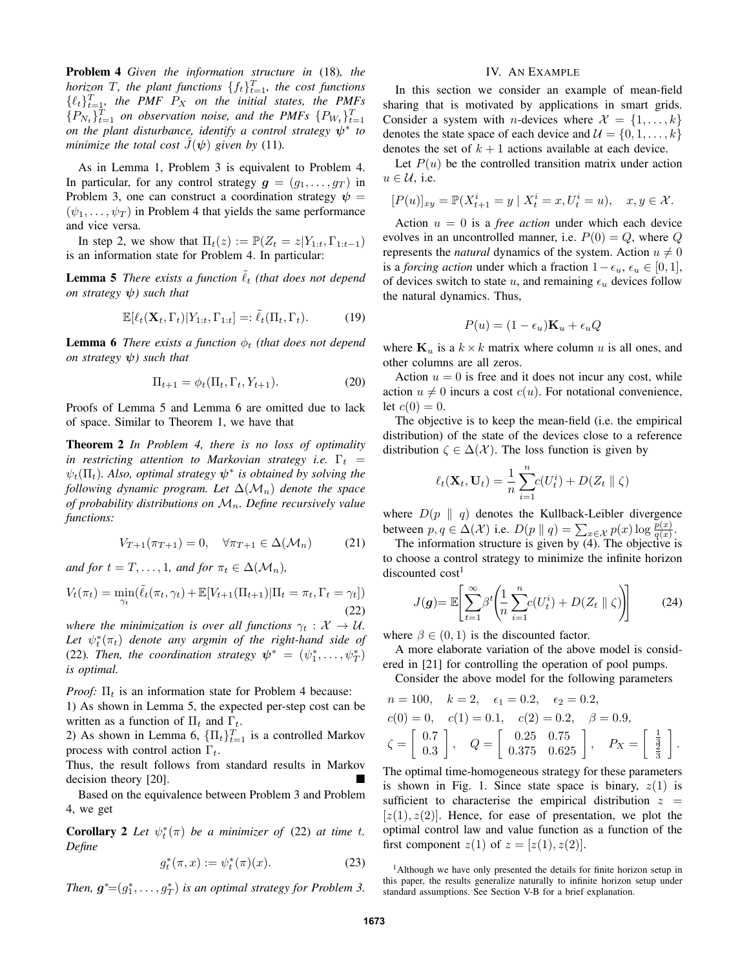Problem 4 *Given the information structure in* (18)*, the horizon*  $T$ *, the plant functions*  $\{f_t\}_{t=1}^T$ *, the cost functions*  $\{\ell_t\}_{t=1}^T$ , the PMF  $P_X$  on the initial states, the PMFs  ${P_{N_t}}_{t=1}^T$  *on observation noise, and the PMFs*  ${P_{N_t}}_{t=1}^T$ *on the plant disturbance, identify a control strategy* ψ<sup>∗</sup> *to minimize the total cost*  $J(\psi)$  *given by* (11).

As in Lemma 1, Problem 3 is equivalent to Problem 4. In particular, for any control strategy  $g = (g_1, \ldots, g_T)$  in Problem 3, one can construct a coordination strategy  $\psi =$  $(\psi_1, \ldots, \psi_T)$  in Problem 4 that yields the same performance and vice versa.

In step 2, we show that  $\Pi_t(z) := \mathbb{P}(Z_t = z | Y_{1:t}, \Gamma_{1:t-1})$ is an information state for Problem 4. In particular:

**Lemma 5** *There exists a function*  $\ell_t$  *(that does not depend on strategy* ψ*) such that*

$$
\mathbb{E}[\ell_t(\mathbf{X}_t, \Gamma_t) | Y_{1:t}, \Gamma_{1:t}] =: \tilde{\ell}_t(\Pi_t, \Gamma_t). \tag{19}
$$

**Lemma 6** *There exists a function*  $\phi_t$  *(that does not depend on strategy*  $\psi$ *) such that* 

$$
\Pi_{t+1} = \phi_t(\Pi_t, \Gamma_t, Y_{t+1}).\tag{20}
$$

Proofs of Lemma 5 and Lemma 6 are omitted due to lack of space. Similar to Theorem 1, we have that

Theorem 2 *In Problem 4, there is no loss of optimality in restricting attention to Markovian strategy i.e.*  $\Gamma_t$  =  $\psi_t(\Pi_t)$ . Also, optimal strategy  $\psi^*$  is obtained by solving the *following dynamic program. Let*  $\Delta(\mathcal{M}_n)$  *denote the space of probability distributions on* Mn*. Define recursively value functions:*

$$
V_{T+1}(\pi_{T+1}) = 0, \quad \forall \pi_{T+1} \in \Delta(\mathcal{M}_n) \tag{21}
$$

*and for*  $t = T, \ldots, 1$ *, and for*  $\pi_t \in \Delta(\mathcal{M}_n)$ *,* 

$$
V_t(\pi_t) = \min_{\gamma_t} (\tilde{\ell}_t(\pi_t, \gamma_t) + \mathbb{E}[V_{t+1}(\Pi_{t+1}) | \Pi_t = \pi_t, \Gamma_t = \gamma_t])
$$
\n(22)

*where the minimization is over all functions*  $\gamma_t : \mathcal{X} \to \mathcal{U}$ . Let  $\psi_t^*(\pi_t)$  denote any argmin of the right-hand side of (22). Then, the coordination strategy  $\psi^* = (\psi_1^*, \dots, \psi_T^*)$ *is optimal.*

*Proof:*  $\Pi_t$  is an information state for Problem 4 because:

1) As shown in Lemma 5, the expected per-step cost can be written as a function of  $\Pi_t$  and  $\Gamma_t$ .

2) As shown in Lemma 6,  $\{\Pi_t\}_{t=1}^T$  is a controlled Markov process with control action  $\Gamma_t$ .

Thus, the result follows from standard results in Markov decision theory [20].

Based on the equivalence between Problem 3 and Problem 4, we get

**Corollary 2** Let  $\psi_t^*(\pi)$  be a minimizer of (22) at time t. *Define*

$$
g_t^*(\pi, x) := \psi_t^*(\pi)(x). \tag{23}
$$

*Then,*  $g^* = (g_1^*, \ldots, g_T^*)$  *is an optimal strategy for Problem 3.* 

# IV. AN EXAMPLE

In this section we consider an example of mean-field sharing that is motivated by applications in smart grids. Consider a system with *n*-devices where  $\mathcal{X} = \{1, \ldots, k\}$ denotes the state space of each device and  $\mathcal{U} = \{0, 1, \dots, k\}$ denotes the set of  $k + 1$  actions available at each device.

Let  $P(u)$  be the controlled transition matrix under action  $u \in \mathcal{U}$ , i.e.

$$
[P(u)]_{xy} = \mathbb{P}(X_{t+1}^i = y \mid X_t^i = x, U_t^i = u), \quad x, y \in \mathcal{X}.
$$

Action  $u = 0$  is a *free action* under which each device evolves in an uncontrolled manner, i.e.  $P(0) = Q$ , where Q represents the *natural* dynamics of the system. Action  $u \neq 0$ is a *forcing action* under which a fraction  $1-\epsilon_u$ ,  $\epsilon_u \in [0,1]$ , of devices switch to state u, and remaining  $\epsilon_u$  devices follow the natural dynamics. Thus,

$$
P(u) = (1 - \epsilon_u)\mathbf{K}_u + \epsilon_u Q
$$

where  $\mathbf{K}_u$  is a  $k \times k$  matrix where column u is all ones, and other columns are all zeros.

Action  $u = 0$  is free and it does not incur any cost, while action  $u \neq 0$  incurs a cost  $c(u)$ . For notational convenience, let  $c(0) = 0$ .

The objective is to keep the mean-field (i.e. the empirical distribution) of the state of the devices close to a reference distribution  $\zeta \in \Delta(\mathcal{X})$ . The loss function is given by

$$
\ell_t(\mathbf{X}_t, \mathbf{U}_t) = \frac{1}{n} \sum_{i=1}^n c(U_t^i) + D(Z_t \parallel \zeta)
$$

where  $D(p \| q)$  denotes the Kullback-Leibler divergence between  $p, q \in \Delta(\mathcal{X})$  i.e.  $D(p || q) = \sum_{x \in \mathcal{X}} p(x) \log \frac{p(x)}{q(x)}$ .

The information structure is given by  $(4)$ . The objective is to choose a control strategy to minimize the infinite horizon discounted cost<sup>1</sup>

$$
J(g) = \mathbb{E}\left[\sum_{t=1}^{\infty} \beta^t \left(\frac{1}{n} \sum_{i=1}^n c(U_t^i) + D(Z_t \parallel \zeta)\right)\right]
$$
(24)

where  $\beta \in (0, 1)$  is the discounted factor.

A more elaborate variation of the above model is considered in [21] for controlling the operation of pool pumps.

Consider the above model for the following parameters

$$
n = 100, \quad k = 2, \quad \epsilon_1 = 0.2, \quad \epsilon_2 = 0.2,
$$
  
\n
$$
c(0) = 0, \quad c(1) = 0.1, \quad c(2) = 0.2, \quad \beta = 0.9,
$$
  
\n
$$
\zeta = \begin{bmatrix} 0.7 \\ 0.3 \end{bmatrix}, \quad Q = \begin{bmatrix} 0.25 & 0.75 \\ 0.375 & 0.625 \end{bmatrix}, \quad P_X = \begin{bmatrix} \frac{1}{3} \\ \frac{3}{3} \end{bmatrix}.
$$

The optimal time-homogeneous strategy for these parameters is shown in Fig. 1. Since state space is binary,  $z(1)$  is sufficient to characterise the empirical distribution  $z =$  $[z(1), z(2)]$ . Hence, for ease of presentation, we plot the optimal control law and value function as a function of the first component  $z(1)$  of  $z = [z(1), z(2)].$ 

<sup>1</sup>Although we have only presented the details for finite horizon setup in this paper, the results generalize naturally to infinite horizon setup under standard assumptions. See Section V-B for a brief explanation.